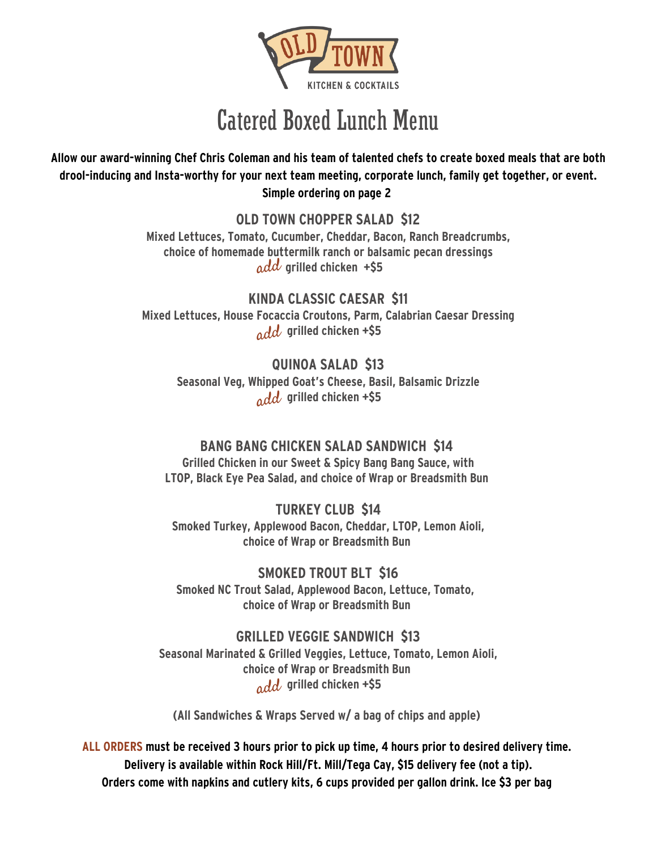

## Catered Boxed Lunch Menu

Allow our award-winning Chef Chris Coleman and his team of talented chefs to create boxed meals that are both **drool-inducing and Insta-worthy for your next team meeting, corporate lunch, family get together, or event. Simple ordering on page 2**

> **OLD TOWN CHOPPER SALAD \$12 Mixed Lettuces, Tomato, Cucumber, Cheddar, Bacon, Ranch Breadcrumbs, choice of homemade buttermilk ranch or balsamic pecan dressings grilled chicken +\$5** add

**KINDA CLASSIC CAESAR \$11 Mixed Lettuces, House Focaccia Croutons, Parm, Calabrian Caesar Dressing grilled chicken +\$5** add

**QUINOA SALAD \$13 Seasonal Veg, Whipped Goat's Cheese, Basil, Balsamic Drizzle grilled chicken +\$5** add

## **BANG BANG CHICKEN SALAD SANDWICH \$14**

**Grilled Chicken in our Sweet & Spicy Bang Bang Sauce, with LTOP, Black Eye Pea Salad, and choice of Wrap or Breadsmith Bun**

**TURKEY CLUB \$14 Smoked Turkey, Applewood Bacon, Cheddar, LTOP, Lemon Aioli, choice of Wrap or Breadsmith Bun**

**SMOKED TROUT BLT \$16 Smoked NC Trout Salad, Applewood Bacon, Lettuce, Tomato, choice of Wrap or Breadsmith Bun**

**GRILLED VEGGIE SANDWICH \$13 Seasonal Marinated & Grilled Veggies, Lettuce, Tomato, Lemon Aioli, choice of Wrap or Breadsmith Bun grilled chicken +\$5** add

**(All Sandwiches & Wraps Served w/ a bag of chips and apple)**

ALL ORDERS must be received 3 hours prior to pick up time, 4 hours prior to desired delivery time. **Delivery is available within Rock Hill/Ft. Mill/Tega Cay, \$15 delivery fee (not a tip). Orders come with napkins and cutlery kits, 6 cups provided per gallon drink. Ice \$3 per bag**